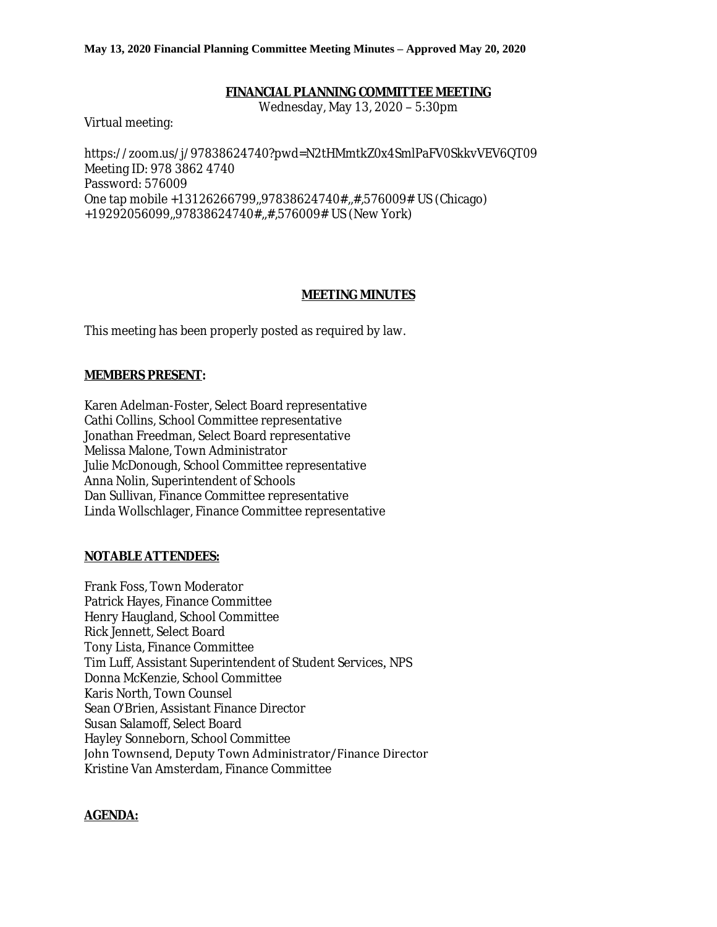#### **May 13, 2020 Financial Planning Committee Meeting Minutes – Approved May 20, 2020**

### **FINANCIAL PLANNING COMMITTEE MEETING**

Wednesday, May 13, 2020 – 5:30pm

Virtual meeting:

https://zoom.us/j/97838624740?pwd=N2tHMmtkZ0x4SmlPaFV0SkkvVEV6QT09 Meeting ID: 978 3862 4740 Password: 576009 One tap mobile +13126266799,,97838624740#,,#,576009# US (Chicago) +19292056099,,97838624740#,,#,576009# US (New York)

### **MEETING MINUTES**

This meeting has been properly posted as required by law.

### **MEMBERS PRESENT:**

Karen Adelman-Foster, Select Board representative Cathi Collins, School Committee representative Jonathan Freedman, Select Board representative Melissa Malone, Town Administrator Julie McDonough, School Committee representative Anna Nolin, Superintendent of Schools Dan Sullivan, Finance Committee representative Linda Wollschlager, Finance Committee representative

### **NOTABLE ATTENDEES:**

Frank Foss, Town Moderator Patrick Hayes, Finance Committee Henry Haugland, School Committee Rick Jennett, Select Board Tony Lista, Finance Committee Tim Luff, Assistant Superintendent of Student Services, NPS Donna McKenzie, School Committee Karis North, Town Counsel Sean O'Brien, Assistant Finance Director Susan Salamoff, Select Board Hayley Sonneborn, School Committee John Townsend, Deputy Town Administrator/Finance Director Kristine Van Amsterdam, Finance Committee

### **AGENDA:**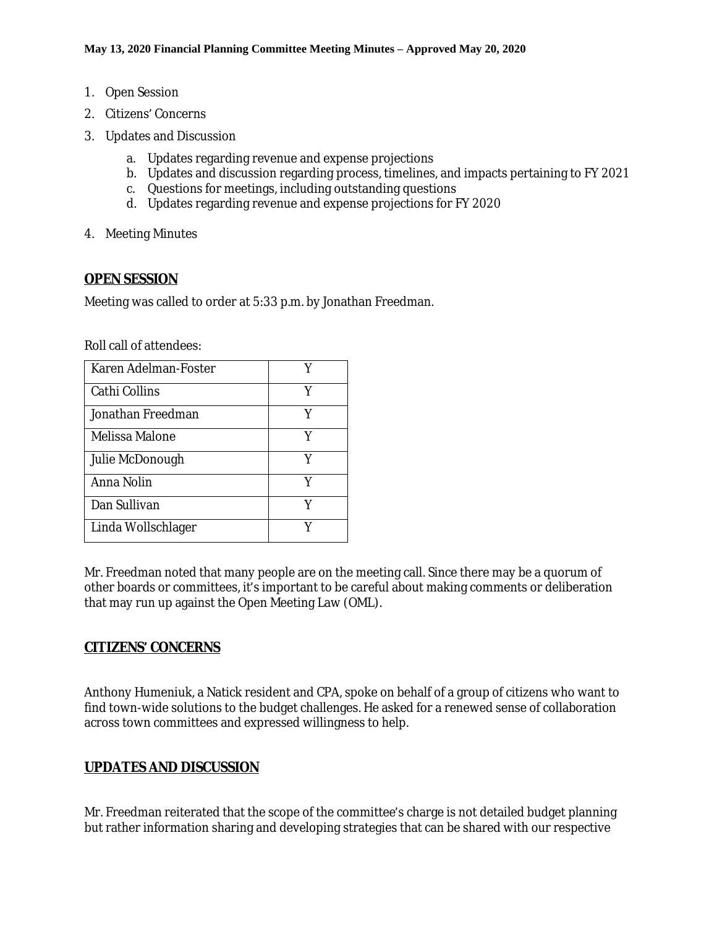- 1. Open Session
- 2. Citizens' Concerns
- 3. Updates and Discussion
	- a. Updates regarding revenue and expense projections
	- b. Updates and discussion regarding process, timelines, and impacts pertaining to FY 2021
	- c. Questions for meetings, including outstanding questions
	- d. Updates regarding revenue and expense projections for FY 2020
- 4. Meeting Minutes

## **OPEN SESSION**

Meeting was called to order at 5:33 p.m. by Jonathan Freedman.

Roll call of attendees:

| Karen Adelman-Foster |   |
|----------------------|---|
| Cathi Collins        | Y |
| Jonathan Freedman    | Y |
| Melissa Malone       | Y |
| Julie McDonough      | Y |
| Anna Nolin           | Y |
| Dan Sullivan         |   |
| Linda Wollschlager   |   |

Mr. Freedman noted that many people are on the meeting call. Since there may be a quorum of other boards or committees, it's important to be careful about making comments or deliberation that may run up against the Open Meeting Law (OML).

# **CITIZENS' CONCERNS**

Anthony Humeniuk, a Natick resident and CPA, spoke on behalf of a group of citizens who want to find town-wide solutions to the budget challenges. He asked for a renewed sense of collaboration across town committees and expressed willingness to help.

# **UPDATES AND DISCUSSION**

Mr. Freedman reiterated that the scope of the committee's charge is not detailed budget planning but rather information sharing and developing strategies that can be shared with our respective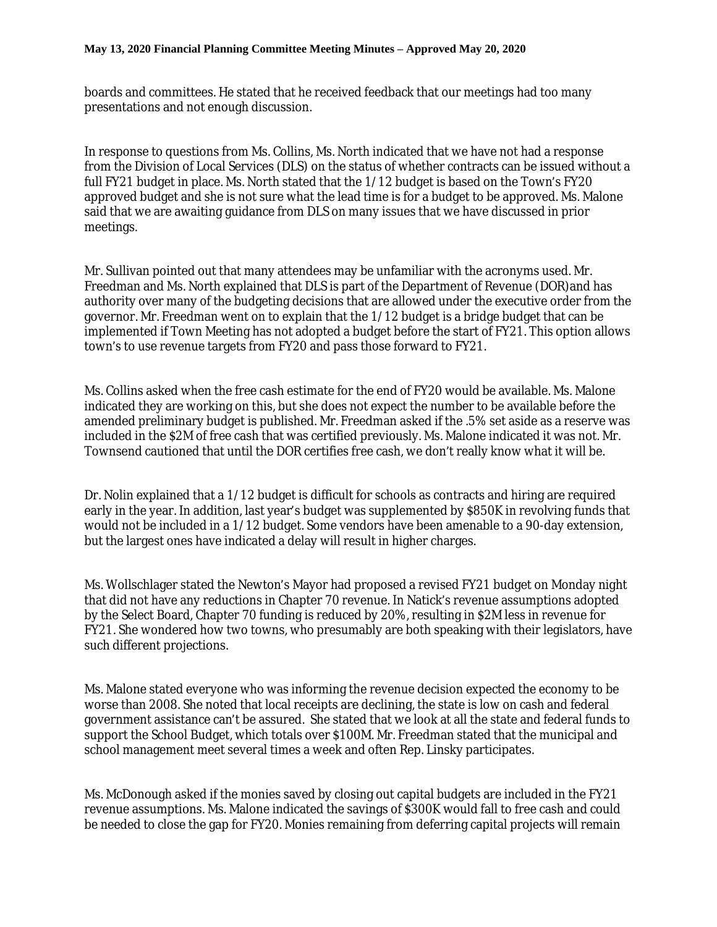boards and committees. He stated that he received feedback that our meetings had too many presentations and not enough discussion.

In response to questions from Ms. Collins, Ms. North indicated that we have not had a response from the Division of Local Services (DLS) on the status of whether contracts can be issued without a full FY21 budget in place. Ms. North stated that the 1/12 budget is based on the Town's FY20 approved budget and she is not sure what the lead time is for a budget to be approved. Ms. Malone said that we are awaiting guidance from DLS on many issues that we have discussed in prior meetings.

Mr. Sullivan pointed out that many attendees may be unfamiliar with the acronyms used. Mr. Freedman and Ms. North explained that DLS is part of the Department of Revenue (DOR)and has authority over many of the budgeting decisions that are allowed under the executive order from the governor. Mr. Freedman went on to explain that the 1/12 budget is a bridge budget that can be implemented if Town Meeting has not adopted a budget before the start of FY21. This option allows town's to use revenue targets from FY20 and pass those forward to FY21.

Ms. Collins asked when the free cash estimate for the end of FY20 would be available. Ms. Malone indicated they are working on this, but she does not expect the number to be available before the amended preliminary budget is published. Mr. Freedman asked if the .5% set aside as a reserve was included in the \$2M of free cash that was certified previously. Ms. Malone indicated it was not. Mr. Townsend cautioned that until the DOR certifies free cash, we don't really know what it will be.

Dr. Nolin explained that a 1/12 budget is difficult for schools as contracts and hiring are required early in the year. In addition, last year's budget was supplemented by \$850K in revolving funds that would not be included in a 1/12 budget. Some vendors have been amenable to a 90-day extension, but the largest ones have indicated a delay will result in higher charges.

Ms. Wollschlager stated the Newton's Mayor had proposed a revised FY21 budget on Monday night that did not have any reductions in Chapter 70 revenue. In Natick's revenue assumptions adopted by the Select Board, Chapter 70 funding is reduced by 20%, resulting in \$2M less in revenue for FY21. She wondered how two towns, who presumably are both speaking with their legislators, have such different projections.

Ms. Malone stated everyone who was informing the revenue decision expected the economy to be worse than 2008. She noted that local receipts are declining, the state is low on cash and federal government assistance can't be assured. She stated that we look at all the state and federal funds to support the School Budget, which totals over \$100M. Mr. Freedman stated that the municipal and school management meet several times a week and often Rep. Linsky participates.

Ms. McDonough asked if the monies saved by closing out capital budgets are included in the FY21 revenue assumptions. Ms. Malone indicated the savings of \$300K would fall to free cash and could be needed to close the gap for FY20. Monies remaining from deferring capital projects will remain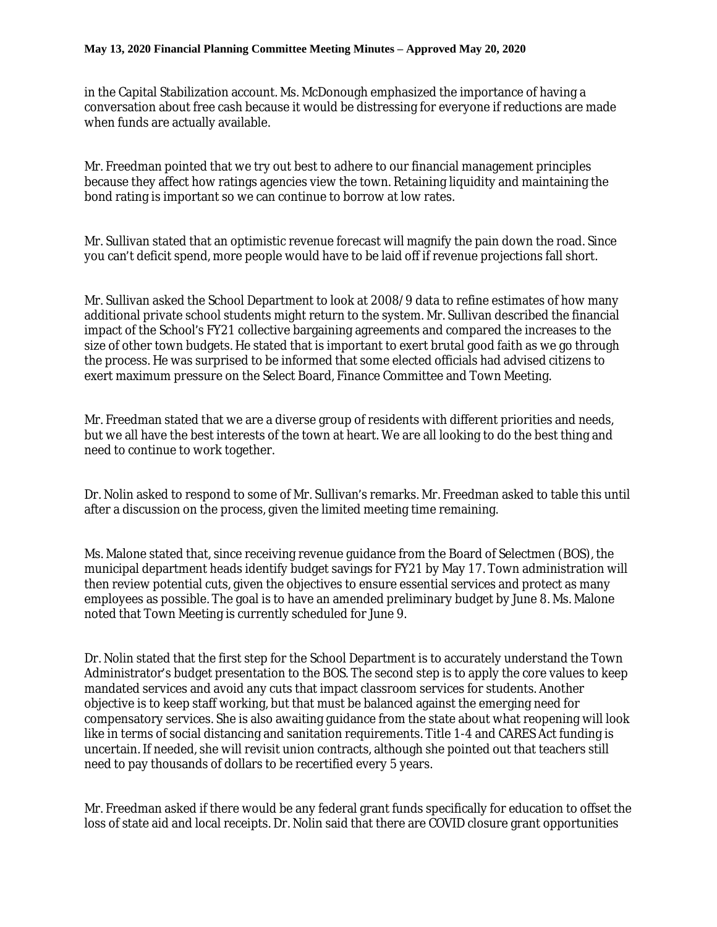in the Capital Stabilization account. Ms. McDonough emphasized the importance of having a conversation about free cash because it would be distressing for everyone if reductions are made when funds are actually available.

Mr. Freedman pointed that we try out best to adhere to our financial management principles because they affect how ratings agencies view the town. Retaining liquidity and maintaining the bond rating is important so we can continue to borrow at low rates.

Mr. Sullivan stated that an optimistic revenue forecast will magnify the pain down the road. Since you can't deficit spend, more people would have to be laid off if revenue projections fall short.

Mr. Sullivan asked the School Department to look at 2008/9 data to refine estimates of how many additional private school students might return to the system. Mr. Sullivan described the financial impact of the School's FY21 collective bargaining agreements and compared the increases to the size of other town budgets. He stated that is important to exert brutal good faith as we go through the process. He was surprised to be informed that some elected officials had advised citizens to exert maximum pressure on the Select Board, Finance Committee and Town Meeting.

Mr. Freedman stated that we are a diverse group of residents with different priorities and needs, but we all have the best interests of the town at heart. We are all looking to do the best thing and need to continue to work together.

Dr. Nolin asked to respond to some of Mr. Sullivan's remarks. Mr. Freedman asked to table this until after a discussion on the process, given the limited meeting time remaining.

Ms. Malone stated that, since receiving revenue guidance from the Board of Selectmen (BOS), the municipal department heads identify budget savings for FY21 by May 17. Town administration will then review potential cuts, given the objectives to ensure essential services and protect as many employees as possible. The goal is to have an amended preliminary budget by June 8. Ms. Malone noted that Town Meeting is currently scheduled for June 9.

Dr. Nolin stated that the first step for the School Department is to accurately understand the Town Administrator's budget presentation to the BOS. The second step is to apply the core values to keep mandated services and avoid any cuts that impact classroom services for students. Another objective is to keep staff working, but that must be balanced against the emerging need for compensatory services. She is also awaiting guidance from the state about what reopening will look like in terms of social distancing and sanitation requirements. Title 1-4 and CARES Act funding is uncertain. If needed, she will revisit union contracts, although she pointed out that teachers still need to pay thousands of dollars to be recertified every 5 years.

Mr. Freedman asked if there would be any federal grant funds specifically for education to offset the loss of state aid and local receipts. Dr. Nolin said that there are COVID closure grant opportunities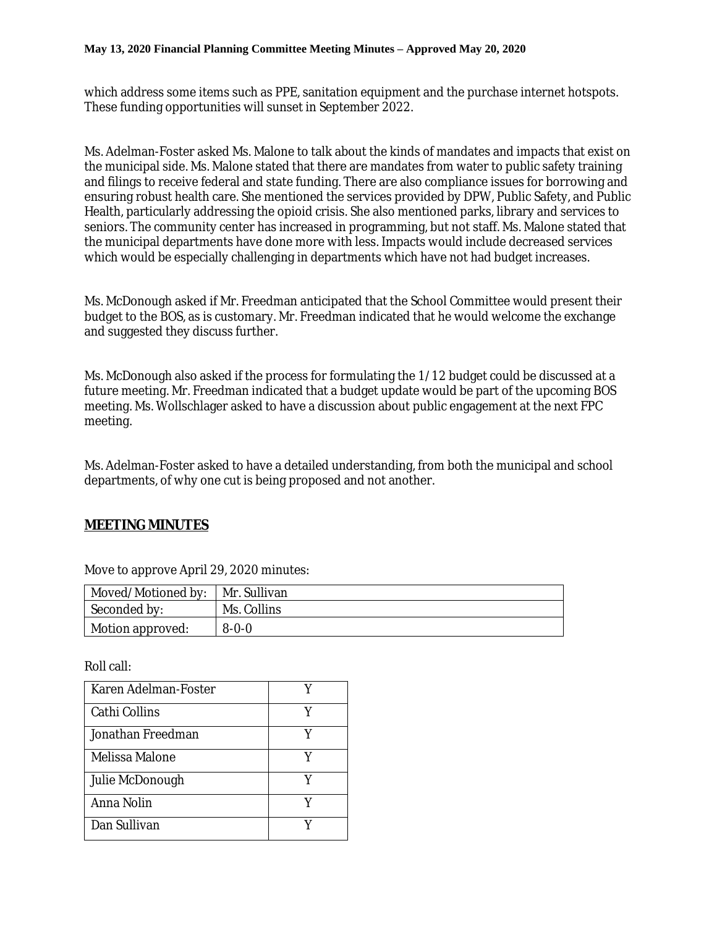which address some items such as PPE, sanitation equipment and the purchase internet hotspots. These funding opportunities will sunset in September 2022.

Ms. Adelman-Foster asked Ms. Malone to talk about the kinds of mandates and impacts that exist on the municipal side. Ms. Malone stated that there are mandates from water to public safety training and filings to receive federal and state funding. There are also compliance issues for borrowing and ensuring robust health care. She mentioned the services provided by DPW, Public Safety, and Public Health, particularly addressing the opioid crisis. She also mentioned parks, library and services to seniors. The community center has increased in programming, but not staff. Ms. Malone stated that the municipal departments have done more with less. Impacts would include decreased services which would be especially challenging in departments which have not had budget increases.

Ms. McDonough asked if Mr. Freedman anticipated that the School Committee would present their budget to the BOS, as is customary. Mr. Freedman indicated that he would welcome the exchange and suggested they discuss further.

Ms. McDonough also asked if the process for formulating the 1/12 budget could be discussed at a future meeting. Mr. Freedman indicated that a budget update would be part of the upcoming BOS meeting. Ms. Wollschlager asked to have a discussion about public engagement at the next FPC meeting.

Ms. Adelman-Foster asked to have a detailed understanding, from both the municipal and school departments, of why one cut is being proposed and not another.

# **MEETING MINUTES**

| Moved/Motioned by: | Mr. Sullivan |
|--------------------|--------------|
| Seconded by:       | Ms. Collins  |
| Motion approved:   | $8 - 0 - 0$  |

Move to approve April 29, 2020 minutes:

Roll call:

| Karen Adelman-Foster |   |
|----------------------|---|
| Cathi Collins        | V |
| Jonathan Freedman    |   |
| Melissa Malone       |   |
| Julie McDonough      | v |
| Anna Nolin           |   |
| Dan Sullivan         |   |